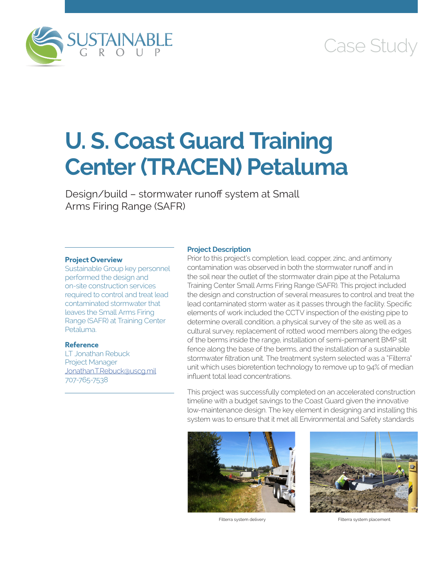

# Case Study

# **U. S. Coast Guard Training Center (TRACEN) Petaluma**

Design/build – stormwater runoff system at Small Arms Firing Range (SAFR)

#### **Project Overview**

Sustainable Group key personnel performed the design and on-site construction services required to control and treat lead contaminated stormwater that leaves the Small Arms Firing Range (SAFR) at Training Center Petaluma.

# **Reference**

LT Jonathan Rebuck Project Manager [Jonathan.T.Rebuck@uscg.mil](mailto:Jonathan.T.Rebuck@uscg.mil) 707-765-7538

### **Project Description**

Prior to this project's completion, lead, copper, zinc, and antimony contamination was observed in both the stormwater runoff and in the soil near the outlet of the stormwater drain pipe at the Petaluma Training Center Small Arms Firing Range (SAFR). This project included the design and construction of several measures to control and treat the lead contaminated storm water as it passes through the facility. Specific elements of work included the CCTV inspection of the existing pipe to determine overall condition, a physical survey of the site as well as a cultural survey, replacement of rotted wood members along the edges of the berms inside the range, installation of semi-permanent BMP silt fence along the base of the berms, and the installation of a sustainable stormwater filtration unit. The treatment system selected was a "Filterra" unit which uses bioretention technology to remove up to 94% of median influent total lead concentrations.

This project was successfully completed on an accelerated construction timeline with a budget savings to the Coast Guard given the innovative low-maintenance design. The key element in designing and installing this system was to ensure that it met all Environmental and Safety standards





Filterra system delivery extending the system placement